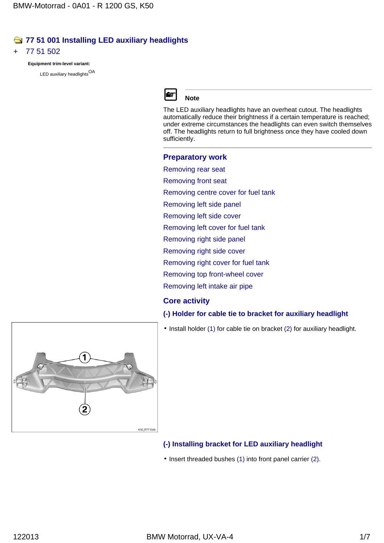## **77 51 001 Installing LED auxiliary headlights**

#### 77 51 502

**Equipment trim-level variant:**

LED auxiliary headlights<sup>OA</sup>



## **Note**

The LED auxiliary headlights have an overheat cutout. The headlights automatically reduce their brightness if a certain temperature is reached; under extreme circumstances the headlights can even switch themselves off. The headlights return to full brightness once they have cooled down sufficiently.

# **Preparatory work**

Removing rear seat

Removing front seat

Removing centre cover for fuel tank

Removing left side panel

Removing left side cover

Removing left cover for fuel tank

Removing right side panel

Removing right side cover

Removing right cover for fuel tank

Removing top front-wheel cover

Removing left intake air pipe

## **Core activity**

#### **(-) Holder for cable tie to bracket for auxiliary headlight**

 $\cdot$  Install holder (1) for cable tie on bracket (2) for auxiliary headlight.



#### **(-) Installing bracket for LED auxiliary headlight**

• Insert threaded bushes (1) into front panel carrier (2).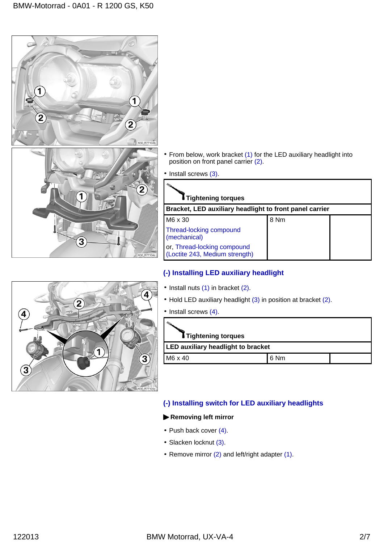

- From below, work bracket (1) for the LED auxiliary headlight into position on front panel carrier (2).
- Install screws (3).

| <b>:</b> Tightening torques                                   |      |  |  |  |
|---------------------------------------------------------------|------|--|--|--|
| Bracket, LED auxiliary headlight to front panel carrier       |      |  |  |  |
| M6 x 30                                                       | 8 Nm |  |  |  |
| Thread-locking compound<br>(mechanical)                       |      |  |  |  |
| or, Thread-locking compound<br>(Loctite 243, Medium strength) |      |  |  |  |

## **(-) Installing LED auxiliary headlight**

- $\cdot$  Install nuts (1) in bracket (2).
- Hold LED auxiliary headlight (3) in position at bracket (2).
- Install screws (4).

| I Tightening torques                      |      |  |  |  |
|-------------------------------------------|------|--|--|--|
| <b>LED auxiliary headlight to bracket</b> |      |  |  |  |
| M6 x 40                                   | 6 Nm |  |  |  |

## **(-) Installing switch for LED auxiliary headlights**

#### **Removing left mirror**

- Push back cover (4).
- Slacken locknut (3).
- Remove mirror (2) and left/right adapter (1).

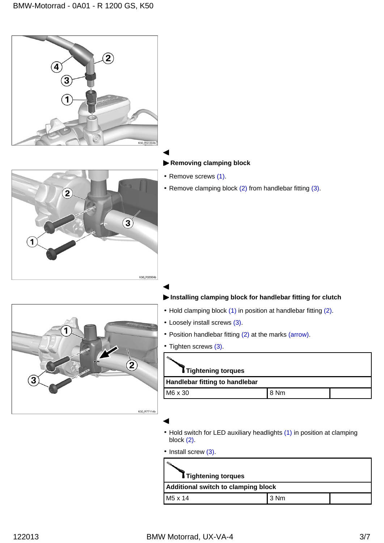

• Hold switch for LED auxiliary headlights (1) in position at clamping block (2).

• Install screw (3).

| <b>:</b> Tightening torques         |        |  |  |  |
|-------------------------------------|--------|--|--|--|
| Additional switch to clamping block |        |  |  |  |
| M5 x 14                             | l 3 Nm |  |  |  |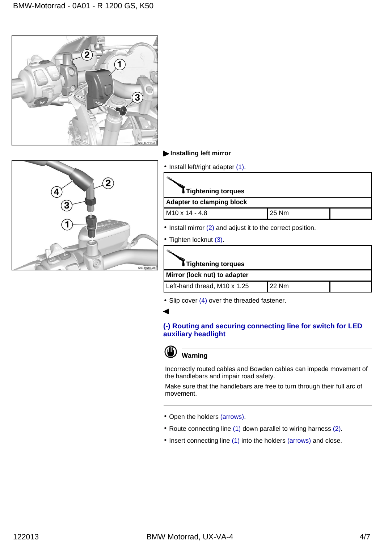



#### **Installing left mirror**

| • Install left/right adapter (1).                           |       |  |  |
|-------------------------------------------------------------|-------|--|--|
| I Tightening torques                                        |       |  |  |
| <b>Adapter to clamping block</b>                            |       |  |  |
| M <sub>10</sub> x 14 - 4.8                                  | 25 Nm |  |  |
| • Install mirror (2) and adjust it to the correct position. |       |  |  |

• Tighten locknut (3).

| Tightening torques           |       |  |  |
|------------------------------|-------|--|--|
| Mirror (lock nut) to adapter |       |  |  |
| Left-hand thread, M10 x 1.25 | 22 Nm |  |  |

\* Slip cover (4) over the threaded fastener.

#### **(-) Routing and securing connecting line for switch for LED auxiliary headlight**



◀

### **Warning**

Incorrectly routed cables and Bowden cables can impede movement of the handlebars and impair road safety.

Make sure that the handlebars are free to turn through their full arc of movement.

- Open the holders (arrows).
- \* Route connecting line (1) down parallel to wiring harness (2).
- Insert connecting line (1) into the holders (arrows) and close.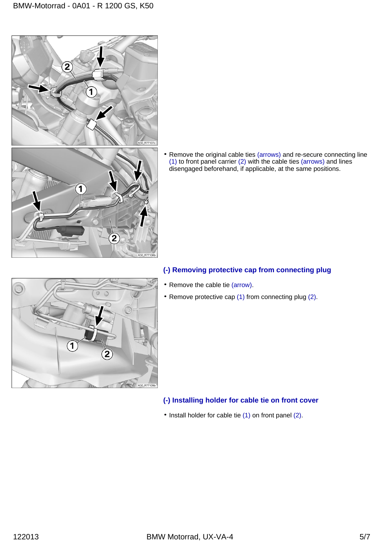

1

2

Remove the original cable ties (arrows) and re-secure connecting line (1) to front panel carrier (2) with the cable ties (arrows) and lines disengaged beforehand, if applicable, at the same positions.



## **(-) Removing protective cap from connecting plug**

- Remove the cable tie (arrow).
- \* Remove protective cap (1) from connecting plug (2).

## **(-) Installing holder for cable tie on front cover**

• Install holder for cable tie (1) on front panel (2).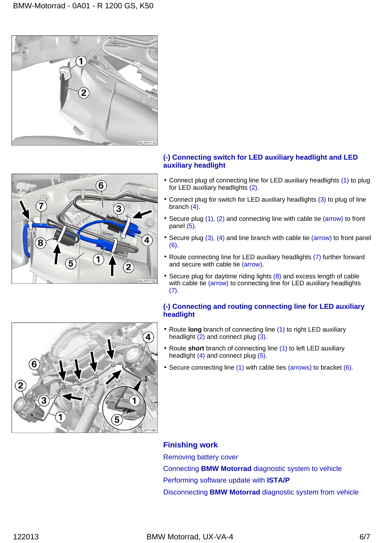



#### **(-) Connecting switch for LED auxiliary headlight and LED auxiliary headlight**

- Connect plug of connecting line for LED auxiliary headlights (1) to plug for LED auxiliary headlights (2).
- Connect plug for switch for LED auxiliary headlights (3) to plug of line branch (4).
- Secure plug (1), (2) and connecting line with cable tie (arrow) to front panel (5).
- Secure plug (3), (4) and line branch with cable tie (arrow) to front panel (6).
- Route connecting line for LED auxiliary headlights (7) further forward and secure with cable tie (arrow).
- \* Secure plug for daytime riding lights (8) and excess length of cable with cable tie (arrow) to connecting line for LED auxiliary headlights  $(7).$

#### **(-) Connecting and routing connecting line for LED auxiliary headlight**

- Route **long** branch of connecting line (1) to right LED auxiliary headlight  $(2)$  and connect plug  $(3)$ .
- Route **short** branch of connecting line (1) to left LED auxiliary headlight (4) and connect plug (5).
- Secure connecting line (1) with cable ties (arrows) to bracket (6).

**Finishing work** Removing battery cover Connecting **BMW Motorrad** diagnostic system to vehicle Performing software update with **ISTA/P** Disconnecting **BMW Motorrad** diagnostic system from vehicle